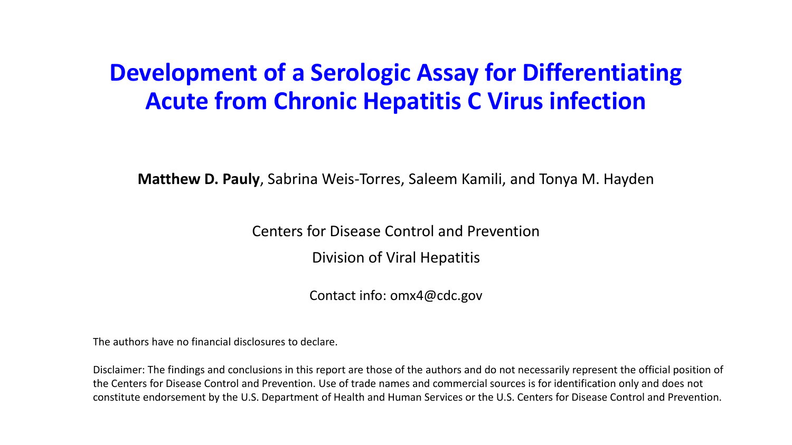#### **Development of a Serologic Assay for Differentiating Acute from Chronic Hepatitis C Virus infection**

**Matthew D. Pauly**, Sabrina Weis-Torres, Saleem Kamili, and Tonya M. Hayden

Centers for Disease Control and Prevention

Division of Viral Hepatitis

Contact info: omx4@cdc.gov

The authors have no financial disclosures to declare.

Disclaimer: The findings and conclusions in this report are those of the authors and do not necessarily represent the official position of the Centers for Disease Control and Prevention. Use of trade names and commercial sources is for identification only and does not constitute endorsement by the U.S. Department of Health and Human Services or the U.S. Centers for Disease Control and Prevention.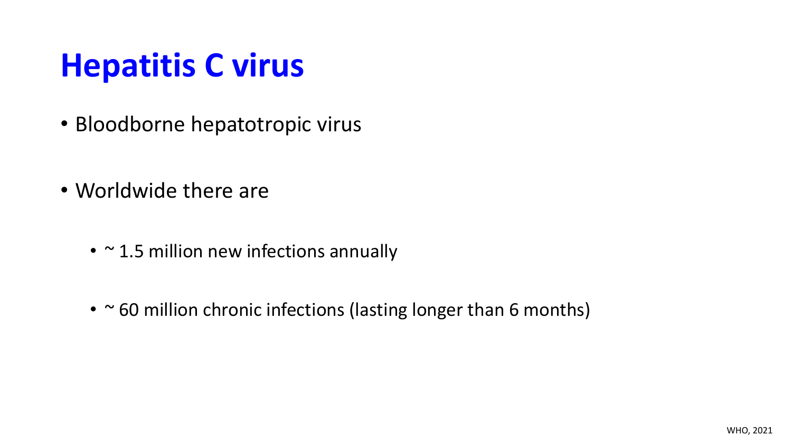## **Hepatitis C virus**

- Bloodborne hepatotropic virus
- Worldwide there are
	- $\cdot$   $\sim$  1.5 million new infections annually
	- ~60 million chronic infections (lasting longer than 6 months)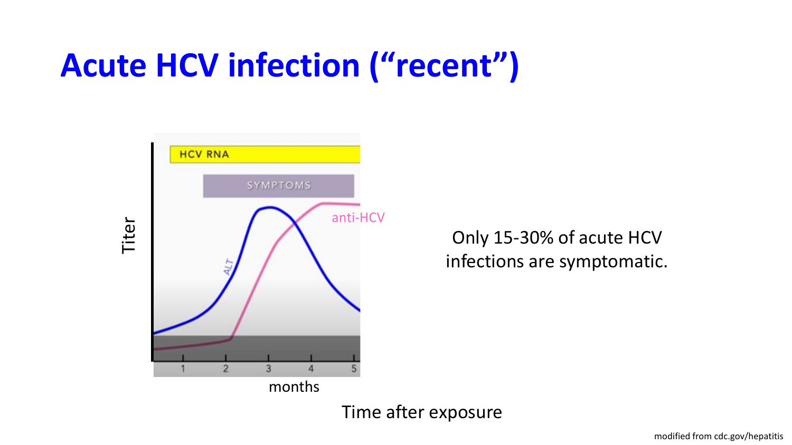## **Acute HCV infection ("recent")**



Only 15-30% of acute HCV infections are symptomatic.

Time after exposure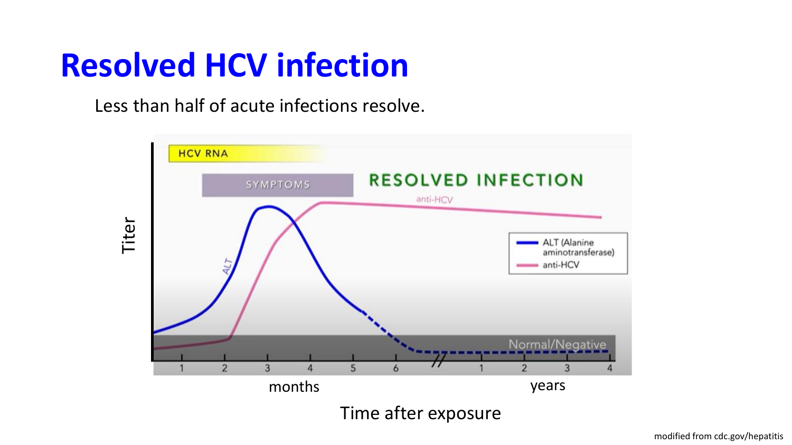## **Resolved HCV infection**

Less than half of acute infections resolve.

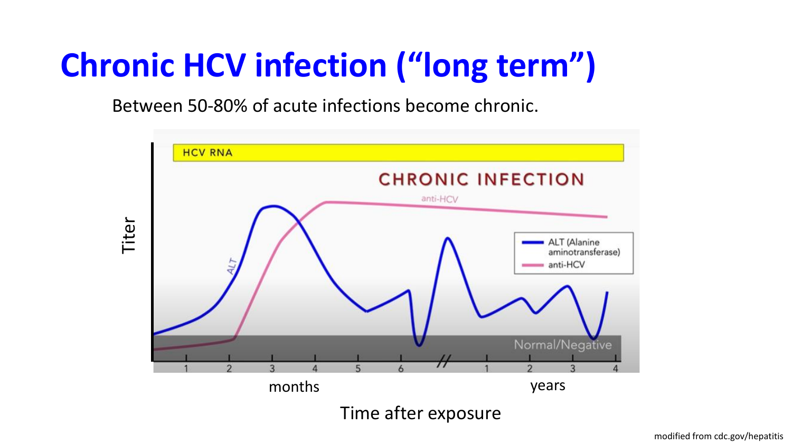# **Chronic HCV infection ("long term")**

Between 50-80% of acute infections become chronic.

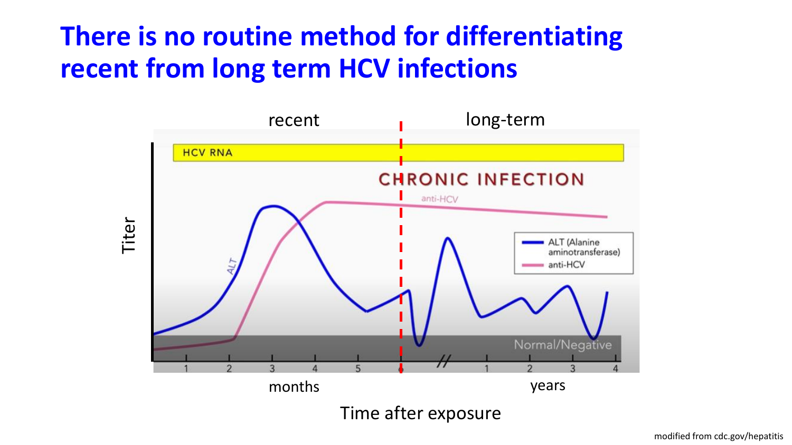#### **There is no routine method for differentiating recent from long term HCV infections**

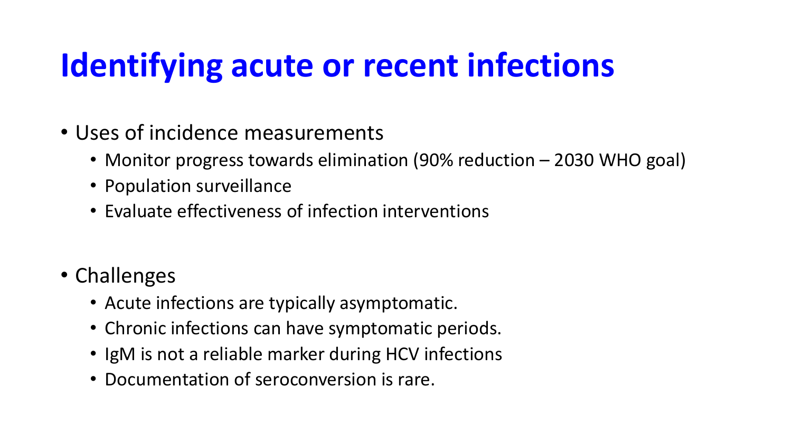# **Identifying acute or recent infections**

- Uses of incidence measurements
	- Monitor progress towards elimination (90% reduction 2030 WHO goal)
	- Population surveillance
	- Evaluate effectiveness of infection interventions
- Challenges
	- Acute infections are typically asymptomatic.
	- Chronic infections can have symptomatic periods.
	- IgM is not a reliable marker during HCV infections
	- Documentation of seroconversion is rare.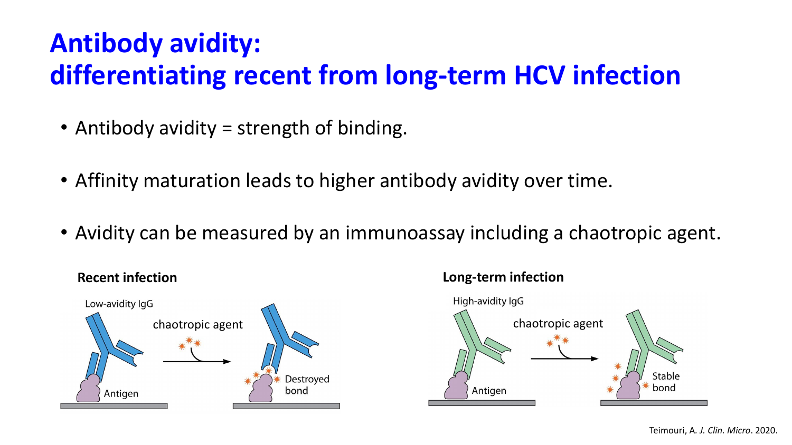#### **Antibody avidity: differentiating recent from long-term HCV infection**

- Antibody avidity = strength of binding.
- Affinity maturation leads to higher antibody avidity over time.
- Avidity can be measured by an immunoassay including a chaotropic agent.



### High-avidity IgG Stable bond Antigen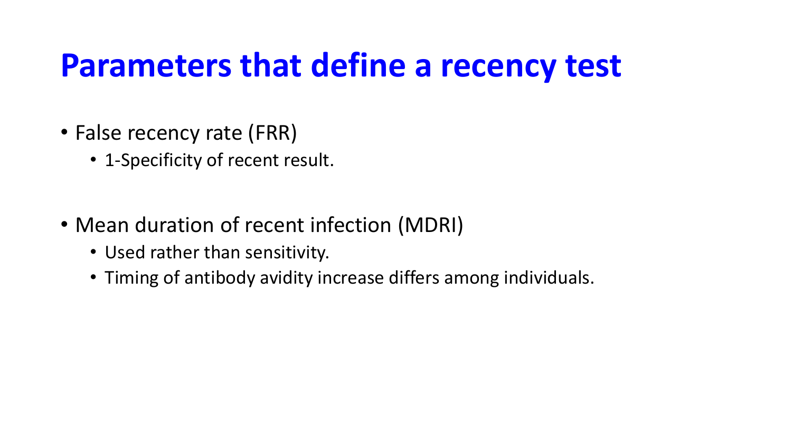## **Parameters that define a recency test**

- False recency rate (FRR)
	- 1-Specificity of recent result.
- Mean duration of recent infection (MDRI)
	- Used rather than sensitivity.
	- Timing of antibody avidity increase differs among individuals.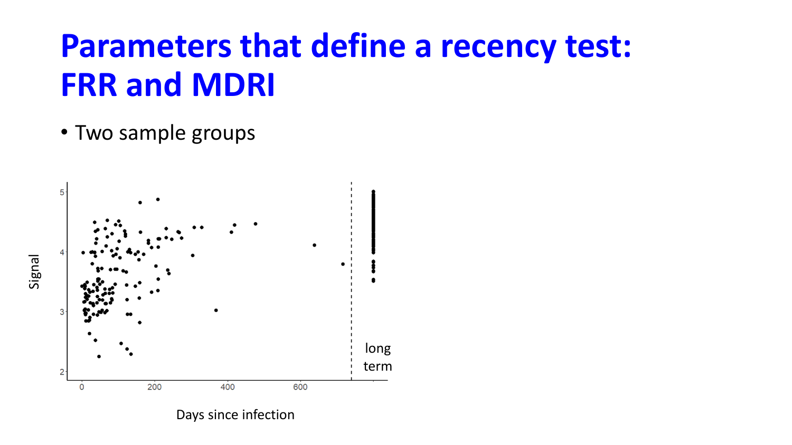## **Parameters that define a recency test: FRR and MDRI**

• Two sample groups



Days since infection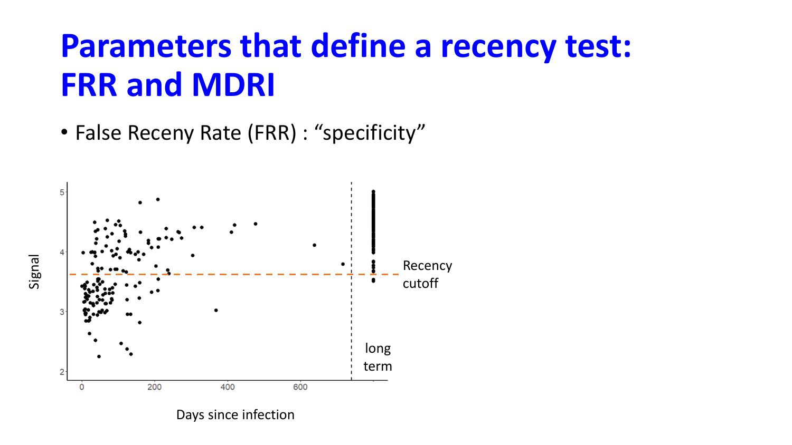## **Parameters that define a recency test: FRR and MDRI**

• False Receny Rate (FRR) : "specificity"



Days since infection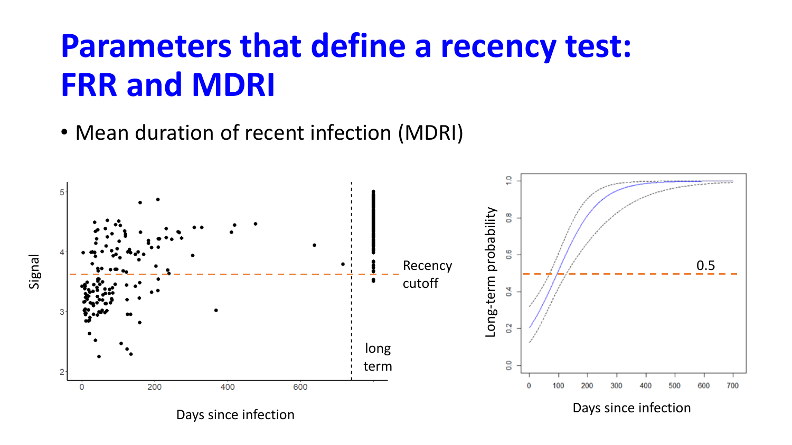# **Parameters that define a recency test: FRR and MDRI**

• Mean duration of recent infection (MDRI)

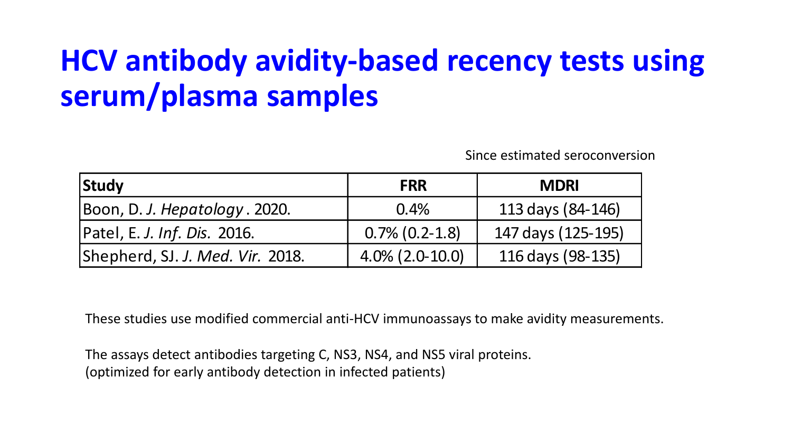## **HCV antibody avidity-based recency tests using serum/plasma samples**

Since estimated seroconversion

| <b>Study</b>                     | <b>FRR</b>          | <b>MDRI</b>        |
|----------------------------------|---------------------|--------------------|
| Boon, D. J. Hepatology. 2020.    | 0.4%                | 113 days (84-146)  |
| Patel, E. J. Inf. Dis. 2016.     | $0.7\%$ $(0.2-1.8)$ | 147 days (125-195) |
| Shepherd, SJ. J. Med. Vir. 2018. | $4.0\%$ (2.0-10.0)  | 116 days (98-135)  |

These studies use modified commercial anti-HCV immunoassays to make avidity measurements.

The assays detect antibodies targeting C, NS3, NS4, and NS5 viral proteins. (optimized for early antibody detection in infected patients)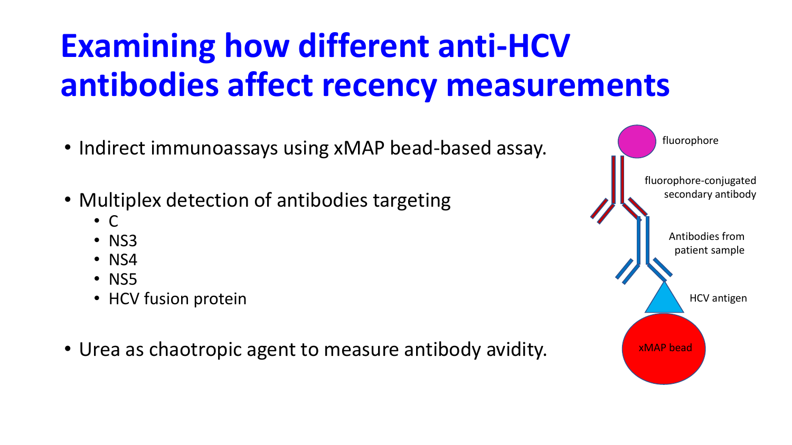# **Examining how different anti-HCV antibodies affect recency measurements**

- Indirect immunoassays using xMAP bead-based assay.
- Multiplex detection of antibodies targeting
	- $\bullet$  C
	- NS3
	- NS4
	- NS5
	- HCV fusion protein
- Urea as chaotropic agent to measure antibody avidity.

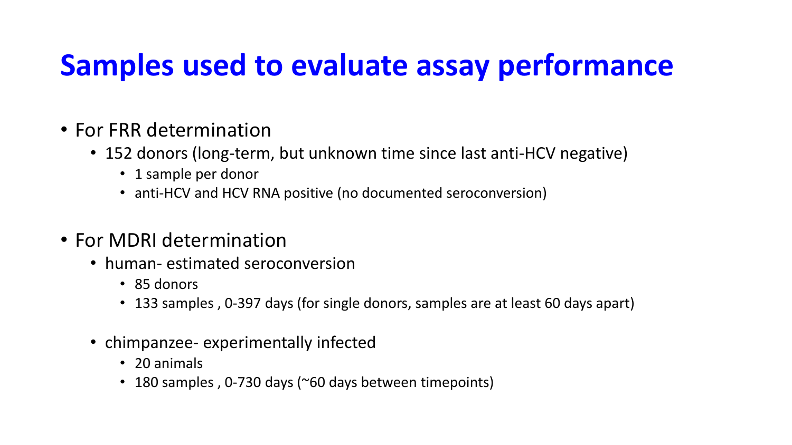### **Samples used to evaluate assay performance**

- For FRR determination
	- 152 donors (long-term, but unknown time since last anti-HCV negative)
		- 1 sample per donor
		- anti-HCV and HCV RNA positive (no documented seroconversion)
- For MDRI determination
	- human- estimated seroconversion
		- 85 donors
		- 133 samples, 0-397 days (for single donors, samples are at least 60 days apart)
	- chimpanzee- experimentally infected
		- 20 animals
		- 180 samples, 0-730 days (~60 days between timepoints)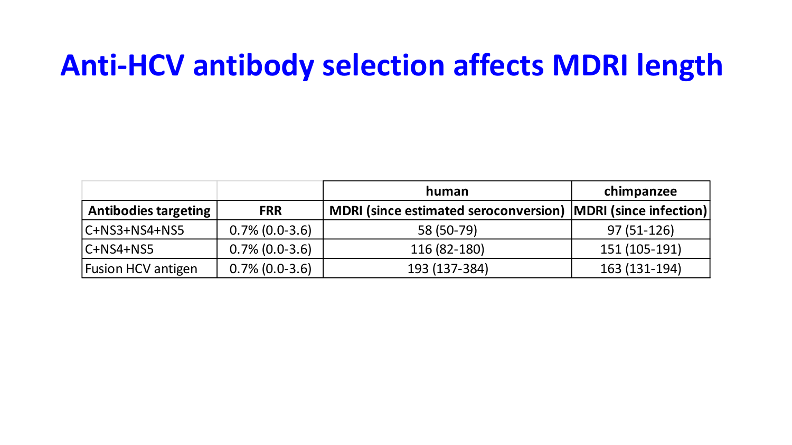### **Anti-HCV antibody selection affects MDRI length**

|                             |                   | human                                                          | chimpanzee    |
|-----------------------------|-------------------|----------------------------------------------------------------|---------------|
| <b>Antibodies targeting</b> | <b>FRR</b>        | MDRI (since estimated seroconversion)   MDRI (since infection) |               |
| $ C+NS3+NS4+NS5 $           | $0.7\%$ (0.0-3.6) | 58 (50-79)                                                     | $97(51-126)$  |
| $ C+NS4+NS5 $               | $0.7\%$ (0.0-3.6) | 116 (82-180)                                                   | 151 (105-191) |
| <b>Fusion HCV antigen</b>   | $0.7\%$ (0.0-3.6) | 193 (137-384)                                                  | 163 (131-194) |